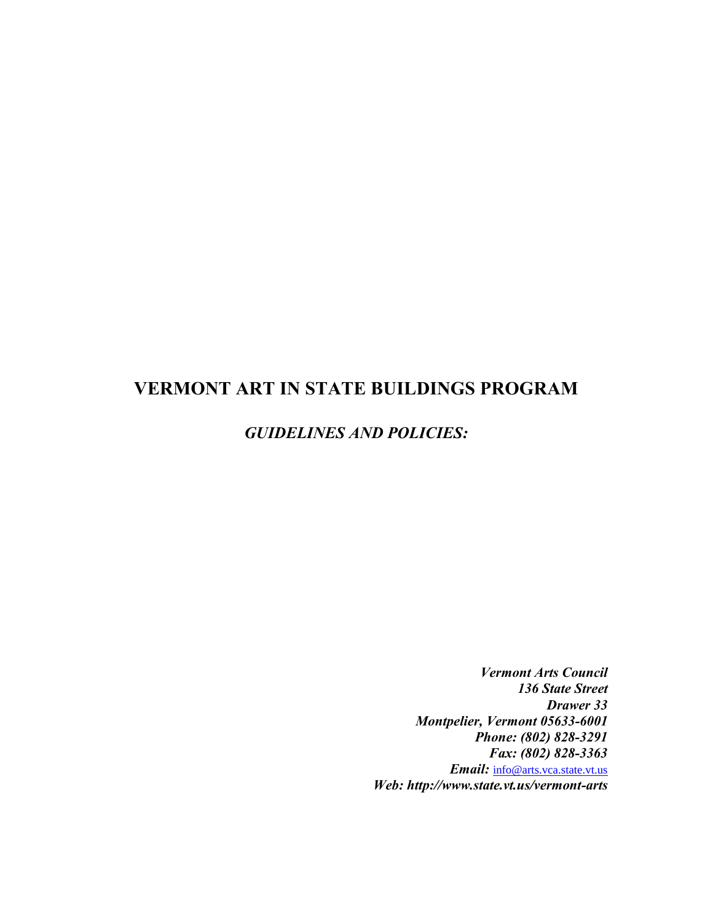# **VERMONT ART IN STATE BUILDINGS PROGRAM**

# *GUIDELINES AND POLICIES:*

*Vermont Arts Council 136 State Street Drawer 33 Montpelier, Vermont 05633-6001 Phone: (802) 828-3291 Fax: (802) 828-3363 Email:* [info@arts.vca.state.vt.us](mailto:info@arts.vca.state.vt.us) *Web: http://www.state.vt.us/vermont-arts*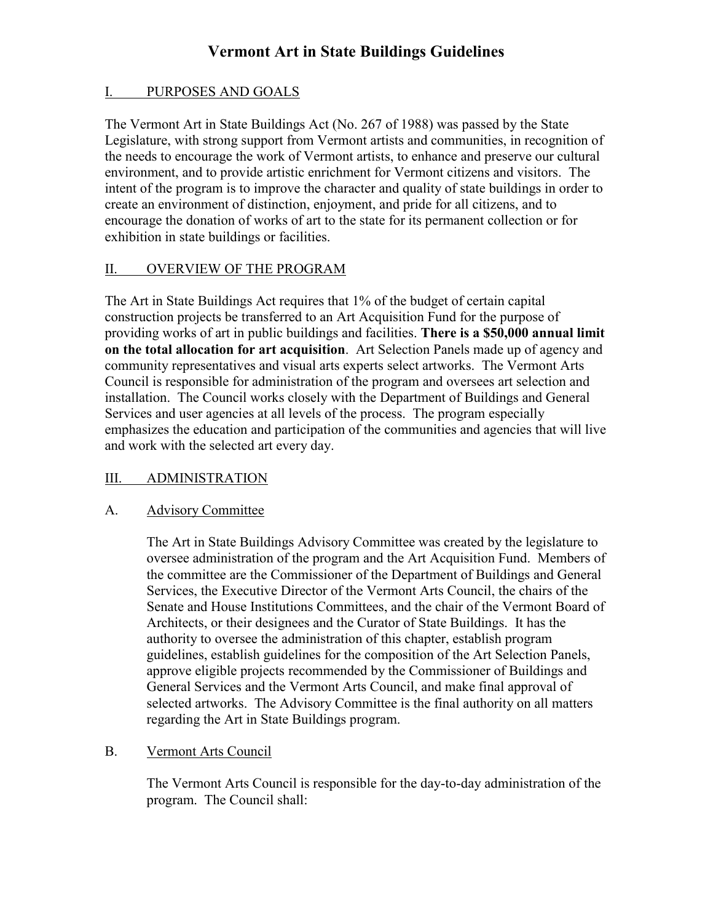## I. PURPOSES AND GOALS

The Vermont Art in State Buildings Act (No. 267 of 1988) was passed by the State Legislature, with strong support from Vermont artists and communities, in recognition of the needs to encourage the work of Vermont artists, to enhance and preserve our cultural environment, and to provide artistic enrichment for Vermont citizens and visitors. The intent of the program is to improve the character and quality of state buildings in order to create an environment of distinction, enjoyment, and pride for all citizens, and to encourage the donation of works of art to the state for its permanent collection or for exhibition in state buildings or facilities.

## II. OVERVIEW OF THE PROGRAM

The Art in State Buildings Act requires that 1% of the budget of certain capital construction projects be transferred to an Art Acquisition Fund for the purpose of providing works of art in public buildings and facilities. **There is a \$50,000 annual limit on the total allocation for art acquisition**. Art Selection Panels made up of agency and community representatives and visual arts experts select artworks. The Vermont Arts Council is responsible for administration of the program and oversees art selection and installation. The Council works closely with the Department of Buildings and General Services and user agencies at all levels of the process. The program especially emphasizes the education and participation of the communities and agencies that will live and work with the selected art every day.

## III. ADMINISTRATION

### A. Advisory Committee

The Art in State Buildings Advisory Committee was created by the legislature to oversee administration of the program and the Art Acquisition Fund. Members of the committee are the Commissioner of the Department of Buildings and General Services, the Executive Director of the Vermont Arts Council, the chairs of the Senate and House Institutions Committees, and the chair of the Vermont Board of Architects, or their designees and the Curator of State Buildings. It has the authority to oversee the administration of this chapter, establish program guidelines, establish guidelines for the composition of the Art Selection Panels, approve eligible projects recommended by the Commissioner of Buildings and General Services and the Vermont Arts Council, and make final approval of selected artworks. The Advisory Committee is the final authority on all matters regarding the Art in State Buildings program.

### B. Vermont Arts Council

The Vermont Arts Council is responsible for the day-to-day administration of the program. The Council shall: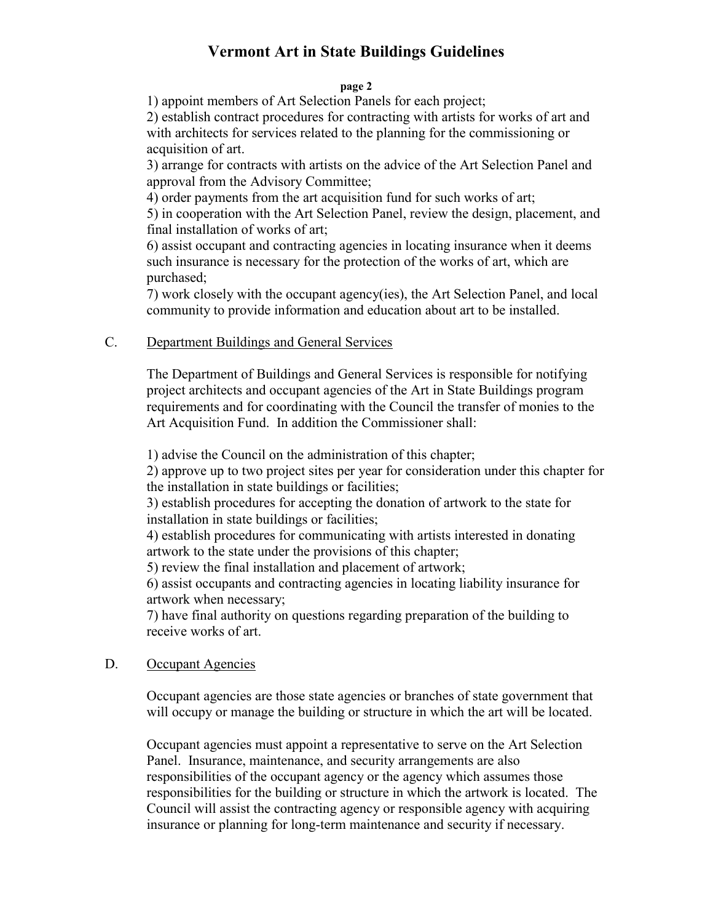#### **page 2**

1) appoint members of Art Selection Panels for each project;

2) establish contract procedures for contracting with artists for works of art and with architects for services related to the planning for the commissioning or acquisition of art.

3) arrange for contracts with artists on the advice of the Art Selection Panel and approval from the Advisory Committee;

4) order payments from the art acquisition fund for such works of art;

5) in cooperation with the Art Selection Panel, review the design, placement, and final installation of works of art;

6) assist occupant and contracting agencies in locating insurance when it deems such insurance is necessary for the protection of the works of art, which are purchased;

7) work closely with the occupant agency(ies), the Art Selection Panel, and local community to provide information and education about art to be installed.

## C. Department Buildings and General Services

The Department of Buildings and General Services is responsible for notifying project architects and occupant agencies of the Art in State Buildings program requirements and for coordinating with the Council the transfer of monies to the Art Acquisition Fund. In addition the Commissioner shall:

1) advise the Council on the administration of this chapter;

2) approve up to two project sites per year for consideration under this chapter for the installation in state buildings or facilities;

3) establish procedures for accepting the donation of artwork to the state for installation in state buildings or facilities;

4) establish procedures for communicating with artists interested in donating artwork to the state under the provisions of this chapter;

5) review the final installation and placement of artwork;

6) assist occupants and contracting agencies in locating liability insurance for artwork when necessary;

7) have final authority on questions regarding preparation of the building to receive works of art.

## D. Occupant Agencies

Occupant agencies are those state agencies or branches of state government that will occupy or manage the building or structure in which the art will be located.

Occupant agencies must appoint a representative to serve on the Art Selection Panel. Insurance, maintenance, and security arrangements are also responsibilities of the occupant agency or the agency which assumes those responsibilities for the building or structure in which the artwork is located. The Council will assist the contracting agency or responsible agency with acquiring insurance or planning for long-term maintenance and security if necessary.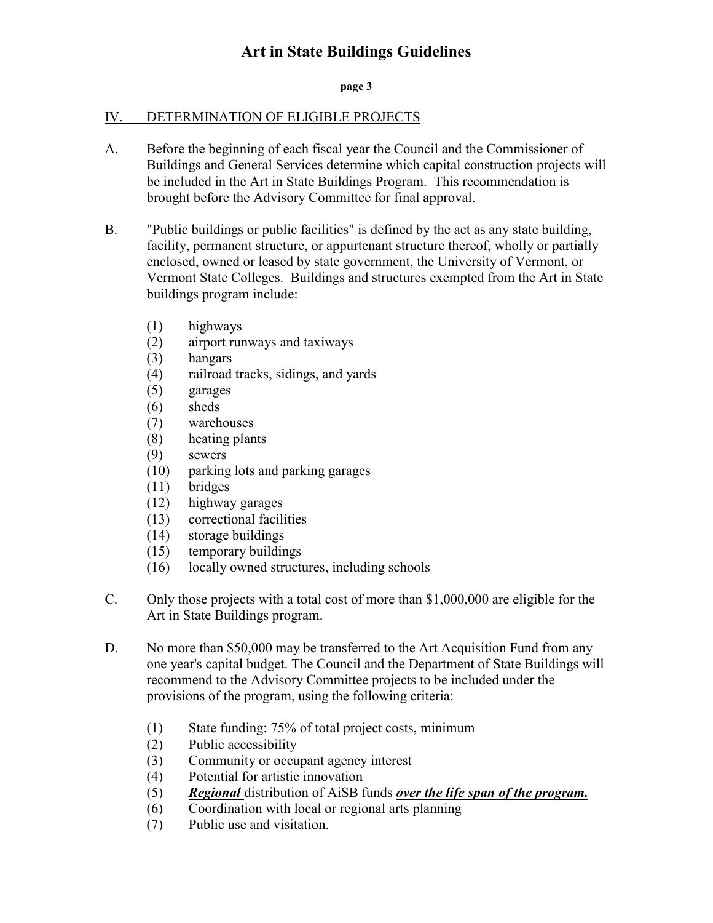#### **page 3**

### IV. DETERMINATION OF ELIGIBLE PROJECTS

- A. Before the beginning of each fiscal year the Council and the Commissioner of Buildings and General Services determine which capital construction projects will be included in the Art in State Buildings Program. This recommendation is brought before the Advisory Committee for final approval.
- B. "Public buildings or public facilities" is defined by the act as any state building, facility, permanent structure, or appurtenant structure thereof, wholly or partially enclosed, owned or leased by state government, the University of Vermont, or Vermont State Colleges. Buildings and structures exempted from the Art in State buildings program include:
	- (1) highways
	- (2) airport runways and taxiways
	- (3) hangars
	- (4) railroad tracks, sidings, and yards
	- (5) garages
	- (6) sheds
	- (7) warehouses
	- (8) heating plants
	- (9) sewers
	- (10) parking lots and parking garages
	- (11) bridges
	- (12) highway garages
	- (13) correctional facilities
	- (14) storage buildings
	- (15) temporary buildings
	- (16) locally owned structures, including schools
- C. Only those projects with a total cost of more than \$1,000,000 are eligible for the Art in State Buildings program.
- D. No more than \$50,000 may be transferred to the Art Acquisition Fund from any one year's capital budget. The Council and the Department of State Buildings will recommend to the Advisory Committee projects to be included under the provisions of the program, using the following criteria:
	- (1) State funding: 75% of total project costs, minimum
	- (2) Public accessibility
	- (3) Community or occupant agency interest
	- (4) Potential for artistic innovation
	- (5) *Regional* distribution of AiSB funds *over the life span of the program.*
	- (6) Coordination with local or regional arts planning
	- (7) Public use and visitation.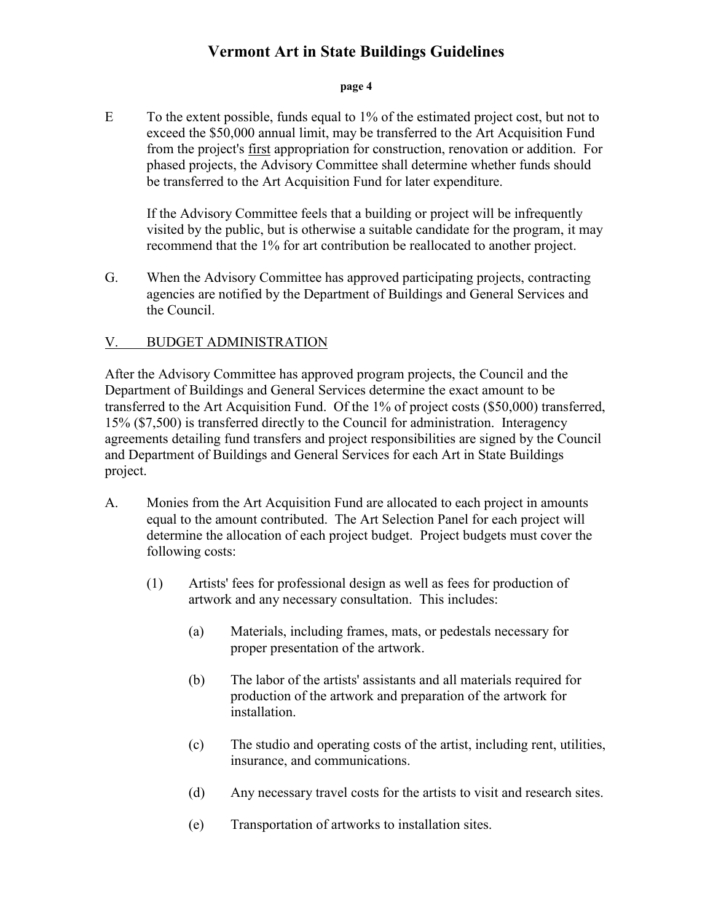#### **page 4**

 $E$  To the extent possible, funds equal to  $1\%$  of the estimated project cost, but not to exceed the \$50,000 annual limit, may be transferred to the Art Acquisition Fund from the project's first appropriation for construction, renovation or addition. For phased projects, the Advisory Committee shall determine whether funds should be transferred to the Art Acquisition Fund for later expenditure.

If the Advisory Committee feels that a building or project will be infrequently visited by the public, but is otherwise a suitable candidate for the program, it may recommend that the 1% for art contribution be reallocated to another project.

G. When the Advisory Committee has approved participating projects, contracting agencies are notified by the Department of Buildings and General Services and the Council.

## V. BUDGET ADMINISTRATION

After the Advisory Committee has approved program projects, the Council and the Department of Buildings and General Services determine the exact amount to be transferred to the Art Acquisition Fund. Of the 1% of project costs (\$50,000) transferred, 15% (\$7,500) is transferred directly to the Council for administration. Interagency agreements detailing fund transfers and project responsibilities are signed by the Council and Department of Buildings and General Services for each Art in State Buildings project.

- A. Monies from the Art Acquisition Fund are allocated to each project in amounts equal to the amount contributed. The Art Selection Panel for each project will determine the allocation of each project budget. Project budgets must cover the following costs:
	- (1) Artists' fees for professional design as well as fees for production of artwork and any necessary consultation. This includes:
		- (a) Materials, including frames, mats, or pedestals necessary for proper presentation of the artwork.
		- (b) The labor of the artists' assistants and all materials required for production of the artwork and preparation of the artwork for installation.
		- (c) The studio and operating costs of the artist, including rent, utilities, insurance, and communications.
		- (d) Any necessary travel costs for the artists to visit and research sites.
		- (e) Transportation of artworks to installation sites.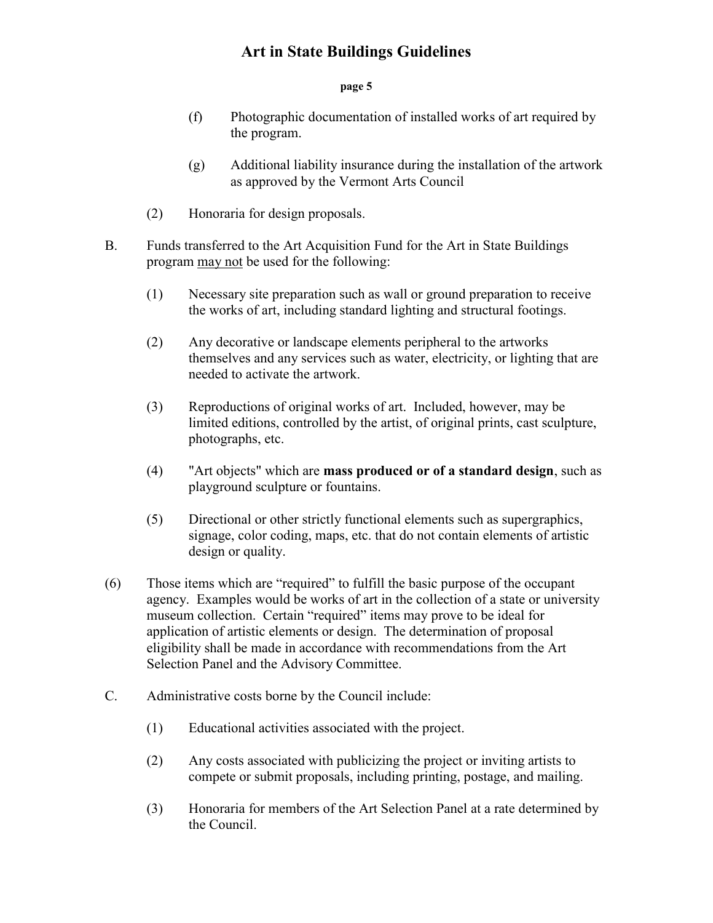#### **page 5**

- (f) Photographic documentation of installed works of art required by the program.
- (g) Additional liability insurance during the installation of the artwork as approved by the Vermont Arts Council
- (2) Honoraria for design proposals.
- B. Funds transferred to the Art Acquisition Fund for the Art in State Buildings program may not be used for the following:
	- (1) Necessary site preparation such as wall or ground preparation to receive the works of art, including standard lighting and structural footings.
	- (2) Any decorative or landscape elements peripheral to the artworks themselves and any services such as water, electricity, or lighting that are needed to activate the artwork.
	- (3) Reproductions of original works of art. Included, however, may be limited editions, controlled by the artist, of original prints, cast sculpture, photographs, etc.
	- (4) "Art objects" which are **mass produced or of a standard design**, such as playground sculpture or fountains.
	- (5) Directional or other strictly functional elements such as supergraphics, signage, color coding, maps, etc. that do not contain elements of artistic design or quality.
- (6) Those items which are "required" to fulfill the basic purpose of the occupant agency. Examples would be works of art in the collection of a state or university museum collection. Certain "required" items may prove to be ideal for application of artistic elements or design. The determination of proposal eligibility shall be made in accordance with recommendations from the Art Selection Panel and the Advisory Committee.
- C. Administrative costs borne by the Council include:
	- (1) Educational activities associated with the project.
	- (2) Any costs associated with publicizing the project or inviting artists to compete or submit proposals, including printing, postage, and mailing.
	- (3) Honoraria for members of the Art Selection Panel at a rate determined by the Council.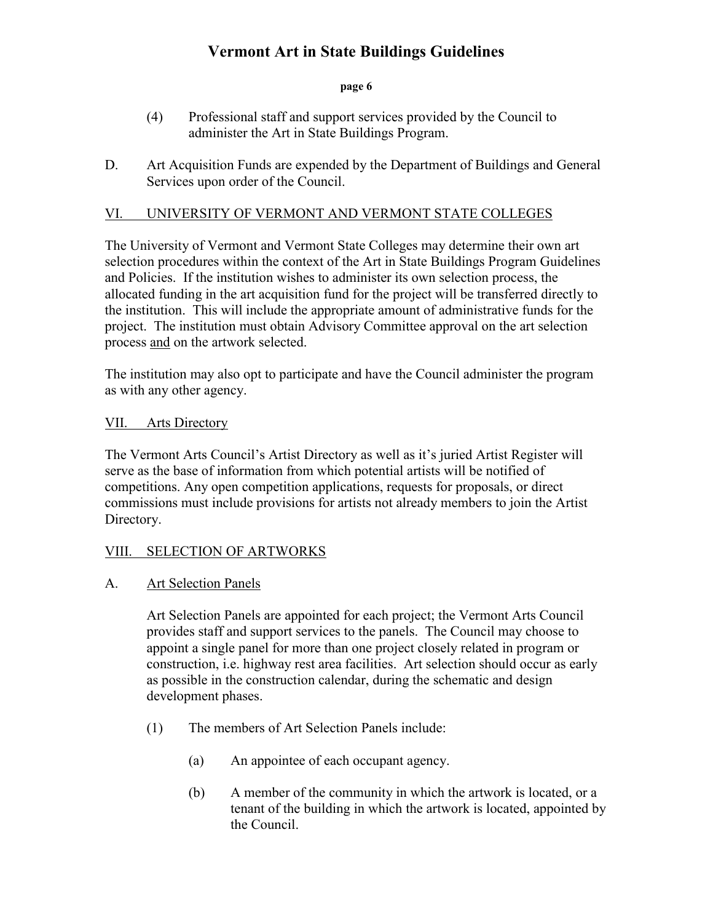### **page 6**

- (4) Professional staff and support services provided by the Council to administer the Art in State Buildings Program.
- D. Art Acquisition Funds are expended by the Department of Buildings and General Services upon order of the Council.

## VI. UNIVERSITY OF VERMONT AND VERMONT STATE COLLEGES

The University of Vermont and Vermont State Colleges may determine their own art selection procedures within the context of the Art in State Buildings Program Guidelines and Policies. If the institution wishes to administer its own selection process, the allocated funding in the art acquisition fund for the project will be transferred directly to the institution. This will include the appropriate amount of administrative funds for the project. The institution must obtain Advisory Committee approval on the art selection process and on the artwork selected.

The institution may also opt to participate and have the Council administer the program as with any other agency.

## VII. Arts Directory

The Vermont Arts Council's Artist Directory as well as it's juried Artist Register will serve as the base of information from which potential artists will be notified of competitions. Any open competition applications, requests for proposals, or direct commissions must include provisions for artists not already members to join the Artist Directory.

### VIII. SELECTION OF ARTWORKS

## A. Art Selection Panels

Art Selection Panels are appointed for each project; the Vermont Arts Council provides staff and support services to the panels. The Council may choose to appoint a single panel for more than one project closely related in program or construction, i.e. highway rest area facilities. Art selection should occur as early as possible in the construction calendar, during the schematic and design development phases.

- (1) The members of Art Selection Panels include:
	- (a) An appointee of each occupant agency.
	- (b) A member of the community in which the artwork is located, or a tenant of the building in which the artwork is located, appointed by the Council.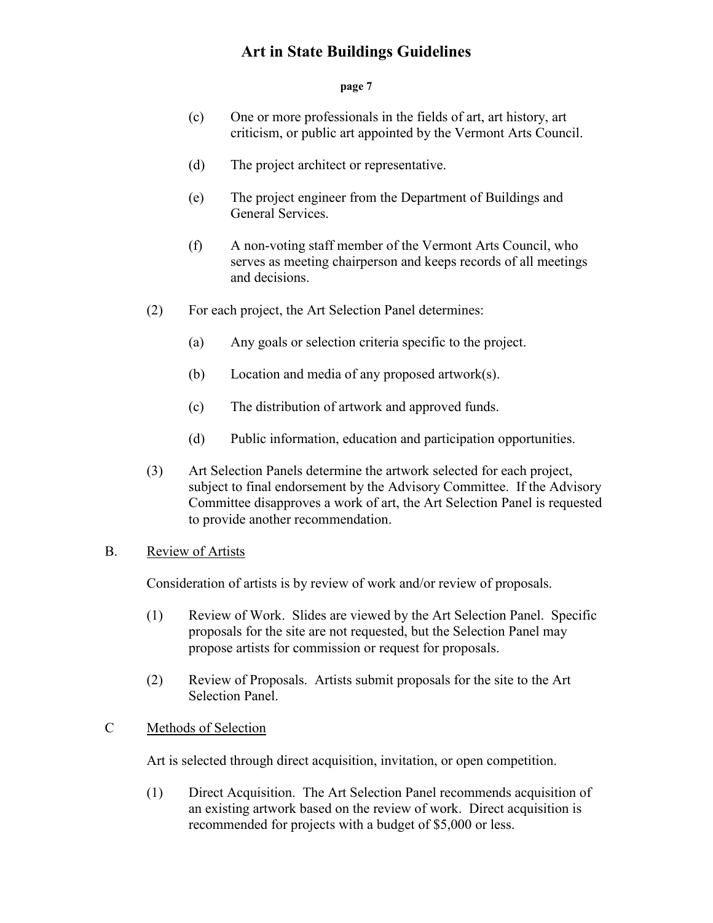#### **page 7**

- (c) One or more professionals in the fields of art, art history, art criticism, or public art appointed by the Vermont Arts Council.
- (d) The project architect or representative.
- (e) The project engineer from the Department of Buildings and General Services.
- (f) A non-voting staff member of the Vermont Arts Council, who serves as meeting chairperson and keeps records of all meetings and decisions.
- (2) For each project, the Art Selection Panel determines:
	- (a) Any goals or selection criteria specific to the project.
	- (b) Location and media of any proposed artwork(s).
	- (c) The distribution of artwork and approved funds.
	- (d) Public information, education and participation opportunities.
- (3) Art Selection Panels determine the artwork selected for each project, subject to final endorsement by the Advisory Committee. If the Advisory Committee disapproves a work of art, the Art Selection Panel is requested to provide another recommendation.

## B. Review of Artists

Consideration of artists is by review of work and/or review of proposals.

- (1) Review of Work. Slides are viewed by the Art Selection Panel. Specific proposals for the site are not requested, but the Selection Panel may propose artists for commission or request for proposals.
- (2) Review of Proposals. Artists submit proposals for the site to the Art Selection Panel.

### C Methods of Selection

Art is selected through direct acquisition, invitation, or open competition.

(1) Direct Acquisition. The Art Selection Panel recommends acquisition of an existing artwork based on the review of work. Direct acquisition is recommended for projects with a budget of \$5,000 or less.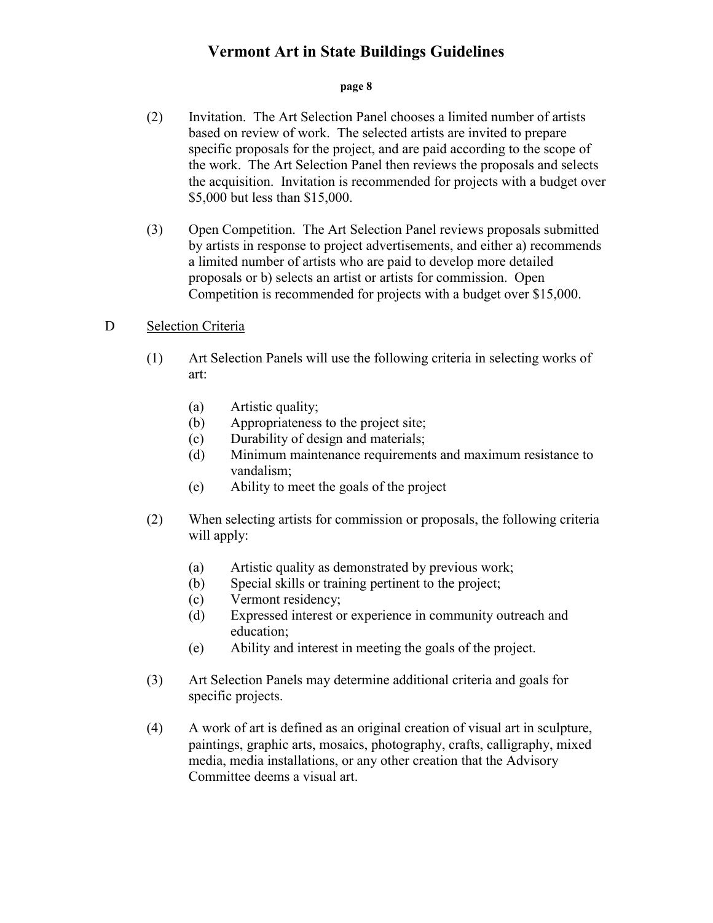#### **page 8**

- (2) Invitation. The Art Selection Panel chooses a limited number of artists based on review of work. The selected artists are invited to prepare specific proposals for the project, and are paid according to the scope of the work. The Art Selection Panel then reviews the proposals and selects the acquisition. Invitation is recommended for projects with a budget over \$5,000 but less than \$15,000.
- (3) Open Competition. The Art Selection Panel reviews proposals submitted by artists in response to project advertisements, and either a) recommends a limited number of artists who are paid to develop more detailed proposals or b) selects an artist or artists for commission. Open Competition is recommended for projects with a budget over \$15,000.

### D Selection Criteria

- (1) Art Selection Panels will use the following criteria in selecting works of art:
	- (a) Artistic quality;
	- (b) Appropriateness to the project site;
	- (c) Durability of design and materials;
	- (d) Minimum maintenance requirements and maximum resistance to vandalism;
	- (e) Ability to meet the goals of the project
- (2) When selecting artists for commission or proposals, the following criteria will apply:
	- (a) Artistic quality as demonstrated by previous work;
	- (b) Special skills or training pertinent to the project;
	- (c) Vermont residency;
	- (d) Expressed interest or experience in community outreach and education;
	- (e) Ability and interest in meeting the goals of the project.
- (3) Art Selection Panels may determine additional criteria and goals for specific projects.
- (4) A work of art is defined as an original creation of visual art in sculpture, paintings, graphic arts, mosaics, photography, crafts, calligraphy, mixed media, media installations, or any other creation that the Advisory Committee deems a visual art.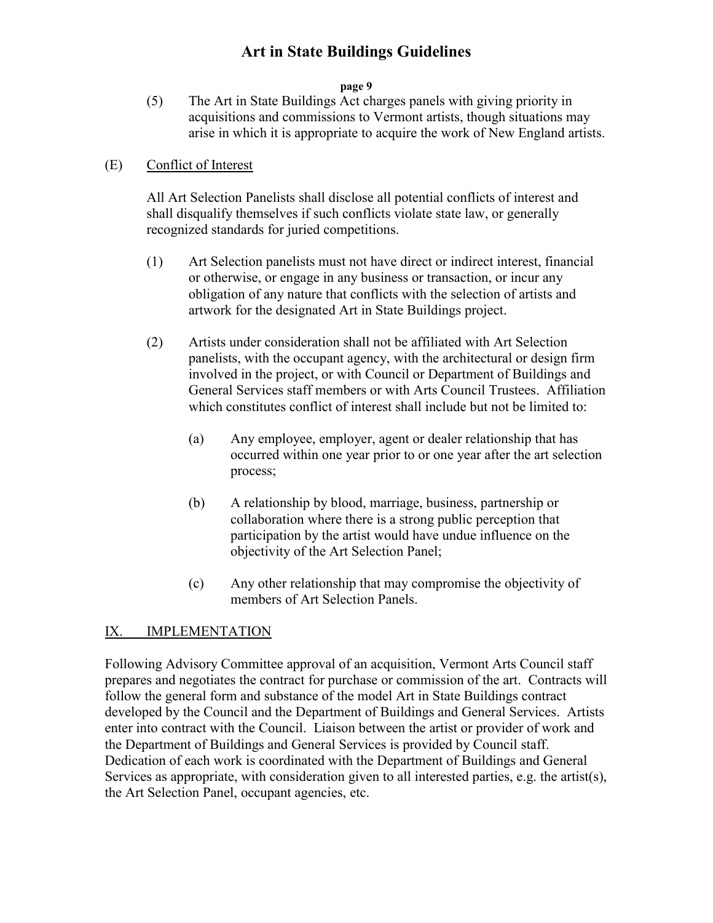### **page 9**

(5) The Art in State Buildings Act charges panels with giving priority in acquisitions and commissions to Vermont artists, though situations may arise in which it is appropriate to acquire the work of New England artists.

## (E) Conflict of Interest

All Art Selection Panelists shall disclose all potential conflicts of interest and shall disqualify themselves if such conflicts violate state law, or generally recognized standards for juried competitions.

- (1) Art Selection panelists must not have direct or indirect interest, financial or otherwise, or engage in any business or transaction, or incur any obligation of any nature that conflicts with the selection of artists and artwork for the designated Art in State Buildings project.
- (2) Artists under consideration shall not be affiliated with Art Selection panelists, with the occupant agency, with the architectural or design firm involved in the project, or with Council or Department of Buildings and General Services staff members or with Arts Council Trustees. Affiliation which constitutes conflict of interest shall include but not be limited to:
	- (a) Any employee, employer, agent or dealer relationship that has occurred within one year prior to or one year after the art selection process;
	- (b) A relationship by blood, marriage, business, partnership or collaboration where there is a strong public perception that participation by the artist would have undue influence on the objectivity of the Art Selection Panel;
	- (c) Any other relationship that may compromise the objectivity of members of Art Selection Panels.

## IX. IMPLEMENTATION

Following Advisory Committee approval of an acquisition, Vermont Arts Council staff prepares and negotiates the contract for purchase or commission of the art. Contracts will follow the general form and substance of the model Art in State Buildings contract developed by the Council and the Department of Buildings and General Services. Artists enter into contract with the Council. Liaison between the artist or provider of work and the Department of Buildings and General Services is provided by Council staff. Dedication of each work is coordinated with the Department of Buildings and General Services as appropriate, with consideration given to all interested parties, e.g. the artist(s), the Art Selection Panel, occupant agencies, etc.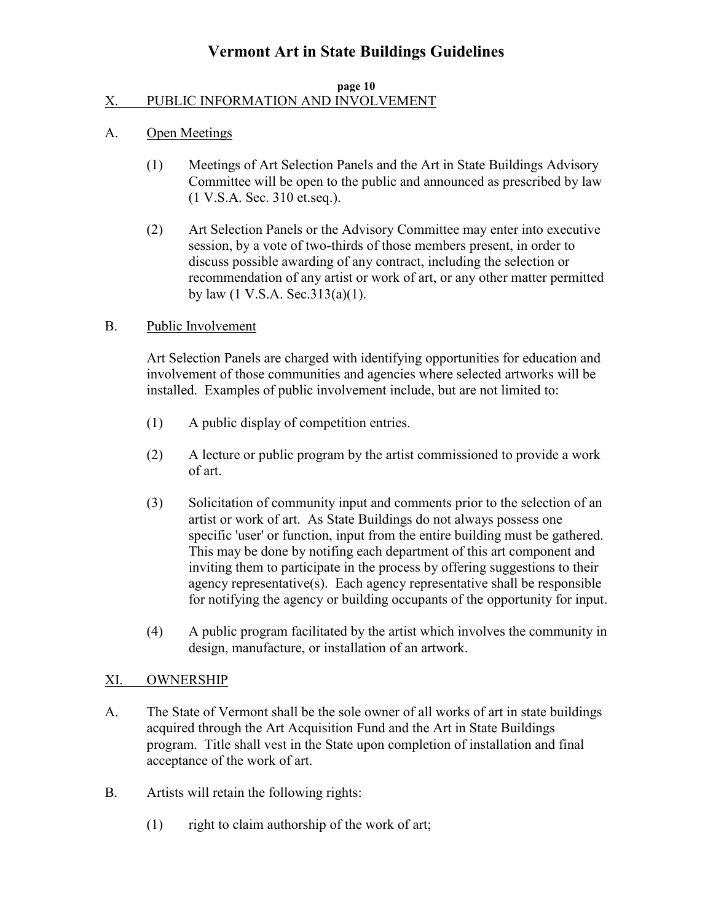#### **page 10** X. PUBLIC INFORMATION AND INVOLVEMENT

### A. Open Meetings

- (1) Meetings of Art Selection Panels and the Art in State Buildings Advisory Committee will be open to the public and announced as prescribed by law (1 V.S.A. Sec. 310 et.seq.).
- (2) Art Selection Panels or the Advisory Committee may enter into executive session, by a vote of two-thirds of those members present, in order to discuss possible awarding of any contract, including the selection or recommendation of any artist or work of art, or any other matter permitted by law  $(1 \text{ V.S.A. Sec.}313(a)(1))$ .

## B. Public Involvement

Art Selection Panels are charged with identifying opportunities for education and involvement of those communities and agencies where selected artworks will be installed. Examples of public involvement include, but are not limited to:

- (1) A public display of competition entries.
- (2) A lecture or public program by the artist commissioned to provide a work of art.
- (3) Solicitation of community input and comments prior to the selection of an artist or work of art. As State Buildings do not always possess one specific 'user' or function, input from the entire building must be gathered. This may be done by notifing each department of this art component and inviting them to participate in the process by offering suggestions to their agency representative(s). Each agency representative shall be responsible for notifying the agency or building occupants of the opportunity for input.
- (4) A public program facilitated by the artist which involves the community in design, manufacture, or installation of an artwork.

## XI. OWNERSHIP

- A. The State of Vermont shall be the sole owner of all works of art in state buildings acquired through the Art Acquisition Fund and the Art in State Buildings program. Title shall vest in the State upon completion of installation and final acceptance of the work of art.
- B. Artists will retain the following rights:
	- (1) right to claim authorship of the work of art;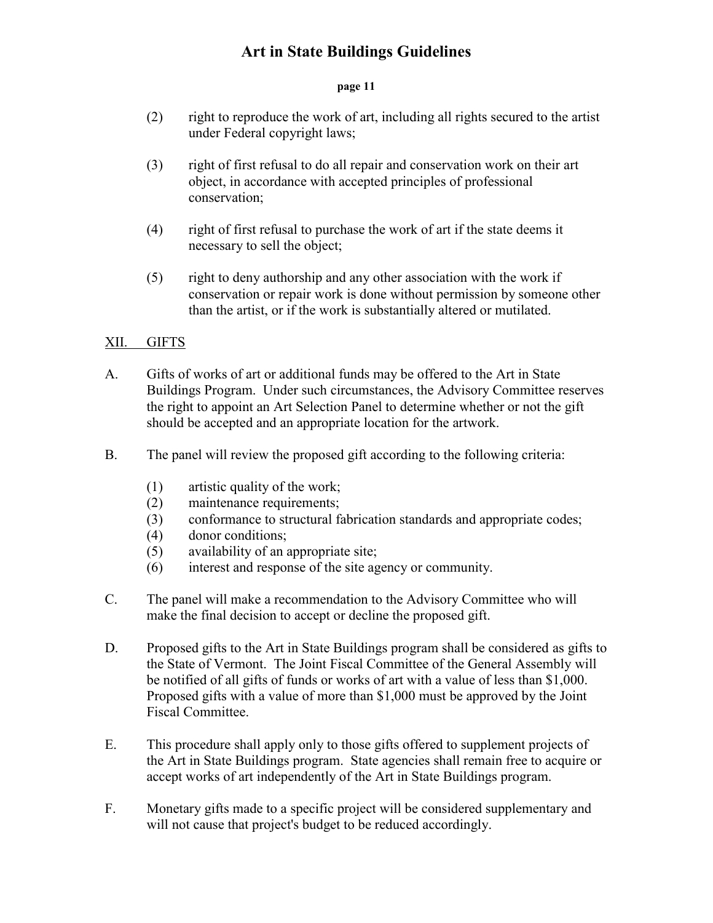#### **page 11**

- (2) right to reproduce the work of art, including all rights secured to the artist under Federal copyright laws;
- (3) right of first refusal to do all repair and conservation work on their art object, in accordance with accepted principles of professional conservation;
- (4) right of first refusal to purchase the work of art if the state deems it necessary to sell the object;
- (5) right to deny authorship and any other association with the work if conservation or repair work is done without permission by someone other than the artist, or if the work is substantially altered or mutilated.

## XII. GIFTS

- A. Gifts of works of art or additional funds may be offered to the Art in State Buildings Program. Under such circumstances, the Advisory Committee reserves the right to appoint an Art Selection Panel to determine whether or not the gift should be accepted and an appropriate location for the artwork.
- B. The panel will review the proposed gift according to the following criteria:
	- (1) artistic quality of the work;
	- (2) maintenance requirements;
	- (3) conformance to structural fabrication standards and appropriate codes;
	- (4) donor conditions;
	- (5) availability of an appropriate site;
	- (6) interest and response of the site agency or community.
- C. The panel will make a recommendation to the Advisory Committee who will make the final decision to accept or decline the proposed gift.
- D. Proposed gifts to the Art in State Buildings program shall be considered as gifts to the State of Vermont. The Joint Fiscal Committee of the General Assembly will be notified of all gifts of funds or works of art with a value of less than \$1,000. Proposed gifts with a value of more than \$1,000 must be approved by the Joint Fiscal Committee.
- E. This procedure shall apply only to those gifts offered to supplement projects of the Art in State Buildings program. State agencies shall remain free to acquire or accept works of art independently of the Art in State Buildings program.
- F. Monetary gifts made to a specific project will be considered supplementary and will not cause that project's budget to be reduced accordingly.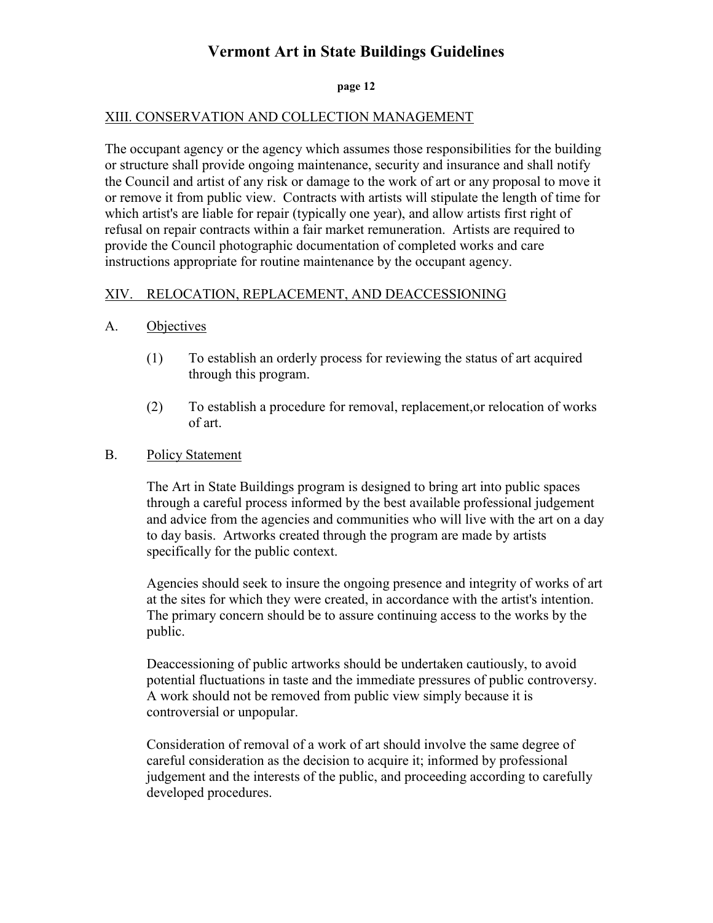#### **page 12**

### XIII. CONSERVATION AND COLLECTION MANAGEMENT

The occupant agency or the agency which assumes those responsibilities for the building or structure shall provide ongoing maintenance, security and insurance and shall notify the Council and artist of any risk or damage to the work of art or any proposal to move it or remove it from public view. Contracts with artists will stipulate the length of time for which artist's are liable for repair (typically one year), and allow artists first right of refusal on repair contracts within a fair market remuneration. Artists are required to provide the Council photographic documentation of completed works and care instructions appropriate for routine maintenance by the occupant agency.

## XIV. RELOCATION, REPLACEMENT, AND DEACCESSIONING

### A. Objectives

- (1) To establish an orderly process for reviewing the status of art acquired through this program.
- (2) To establish a procedure for removal, replacement,or relocation of works of art.

### B. Policy Statement

The Art in State Buildings program is designed to bring art into public spaces through a careful process informed by the best available professional judgement and advice from the agencies and communities who will live with the art on a day to day basis. Artworks created through the program are made by artists specifically for the public context.

Agencies should seek to insure the ongoing presence and integrity of works of art at the sites for which they were created, in accordance with the artist's intention. The primary concern should be to assure continuing access to the works by the public.

Deaccessioning of public artworks should be undertaken cautiously, to avoid potential fluctuations in taste and the immediate pressures of public controversy. A work should not be removed from public view simply because it is controversial or unpopular.

Consideration of removal of a work of art should involve the same degree of careful consideration as the decision to acquire it; informed by professional judgement and the interests of the public, and proceeding according to carefully developed procedures.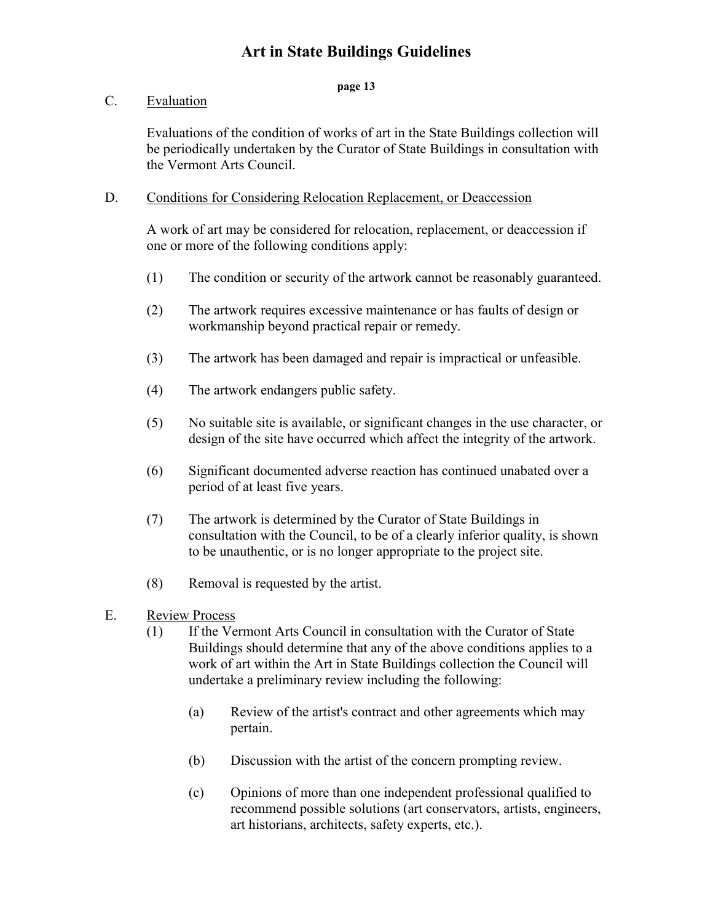### **page 13**

## C. Evaluation

Evaluations of the condition of works of art in the State Buildings collection will be periodically undertaken by the Curator of State Buildings in consultation with the Vermont Arts Council.

### D. Conditions for Considering Relocation Replacement, or Deaccession

A work of art may be considered for relocation, replacement, or deaccession if one or more of the following conditions apply:

- (1) The condition or security of the artwork cannot be reasonably guaranteed.
- (2) The artwork requires excessive maintenance or has faults of design or workmanship beyond practical repair or remedy.
- (3) The artwork has been damaged and repair is impractical or unfeasible.
- (4) The artwork endangers public safety.
- (5) No suitable site is available, or significant changes in the use character, or design of the site have occurred which affect the integrity of the artwork.
- (6) Significant documented adverse reaction has continued unabated over a period of at least five years.
- (7) The artwork is determined by the Curator of State Buildings in consultation with the Council, to be of a clearly inferior quality, is shown to be unauthentic, or is no longer appropriate to the project site.
- (8) Removal is requested by the artist.
- E. Review Process
	- (1) If the Vermont Arts Council in consultation with the Curator of State Buildings should determine that any of the above conditions applies to a work of art within the Art in State Buildings collection the Council will undertake a preliminary review including the following:
		- (a) Review of the artist's contract and other agreements which may pertain.
		- (b) Discussion with the artist of the concern prompting review.
		- (c) Opinions of more than one independent professional qualified to recommend possible solutions (art conservators, artists, engineers, art historians, architects, safety experts, etc.).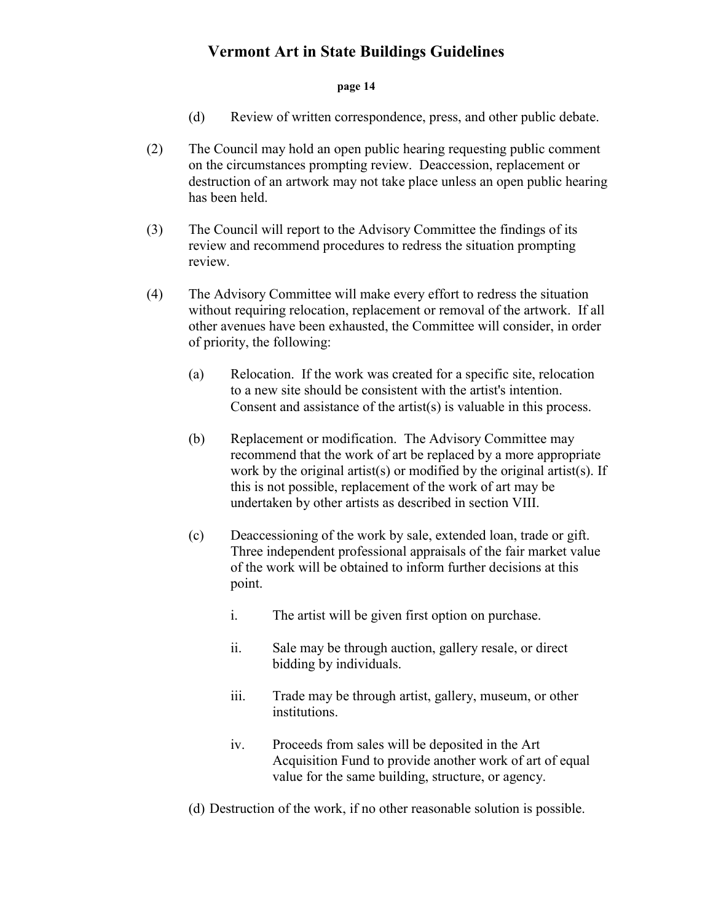#### **page 14**

- (d) Review of written correspondence, press, and other public debate.
- (2) The Council may hold an open public hearing requesting public comment on the circumstances prompting review. Deaccession, replacement or destruction of an artwork may not take place unless an open public hearing has been held.
- (3) The Council will report to the Advisory Committee the findings of its review and recommend procedures to redress the situation prompting review.
- (4) The Advisory Committee will make every effort to redress the situation without requiring relocation, replacement or removal of the artwork. If all other avenues have been exhausted, the Committee will consider, in order of priority, the following:
	- (a) Relocation. If the work was created for a specific site, relocation to a new site should be consistent with the artist's intention. Consent and assistance of the artist(s) is valuable in this process.
	- (b) Replacement or modification. The Advisory Committee may recommend that the work of art be replaced by a more appropriate work by the original artist(s) or modified by the original artist(s). If this is not possible, replacement of the work of art may be undertaken by other artists as described in section VIII.
	- (c) Deaccessioning of the work by sale, extended loan, trade or gift. Three independent professional appraisals of the fair market value of the work will be obtained to inform further decisions at this point.
		- i. The artist will be given first option on purchase.
		- ii. Sale may be through auction, gallery resale, or direct bidding by individuals.
		- iii. Trade may be through artist, gallery, museum, or other institutions.
		- iv. Proceeds from sales will be deposited in the Art Acquisition Fund to provide another work of art of equal value for the same building, structure, or agency.
	- (d) Destruction of the work, if no other reasonable solution is possible.